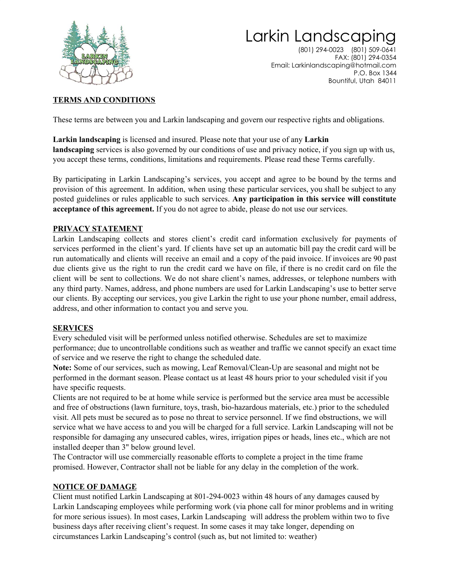

## Larkin Landscaping

(801) 294-0023 (801) 509-0641 FAX: (801) 294-0354 Email: Larkinlandscaping@hotmail.com P.O. Box 1344 Bountiful, Utah 84011

#### **TERMS AND CONDITIONS**

These terms are between you and Larkin landscaping and govern our respective rights and obligations.

**Larkin landscaping** is licensed and insured. Please note that your use of any **Larkin landscaping** services is also governed by our conditions of use and privacy notice, if you sign up with us, you accept these terms, conditions, limitations and requirements. Please read these Terms carefully.

By participating in Larkin Landscaping's services, you accept and agree to be bound by the terms and provision of this agreement. In addition, when using these particular services, you shall be subject to any posted guidelines or rules applicable to such services. **Any participation in this service will constitute acceptance of this agreement.** If you do not agree to abide, please do not use our services.

#### **PRIVACY STATEMENT**

Larkin Landscaping collects and stores client's credit card information exclusively for payments of services performed in the client's yard. If clients have set up an automatic bill pay the credit card will be run automatically and clients will receive an email and a copy of the paid invoice. If invoices are 90 past due clients give us the right to run the credit card we have on file, if there is no credit card on file the client will be sent to collections. We do not share client's names, addresses, or telephone numbers with any third party. Names, address, and phone numbers are used for Larkin Landscaping's use to better serve our clients. By accepting our services, you give Larkin the right to use your phone number, email address, address, and other information to contact you and serve you.

#### **SERVICES**

Every scheduled visit will be performed unless notified otherwise. Schedules are set to maximize performance; due to uncontrollable conditions such as weather and traffic we cannot specify an exact time of service and we reserve the right to change the scheduled date.

**Note:** Some of our services, such as mowing, Leaf Removal/Clean-Up are seasonal and might not be performed in the dormant season. Please contact us at least 48 hours prior to your scheduled visit if you have specific requests.

Clients are not required to be at home while service is performed but the service area must be accessible and free of obstructions (lawn furniture, toys, trash, bio-hazardous materials, etc.) prior to the scheduled visit. All pets must be secured as to pose no threat to service personnel. If we find obstructions, we will service what we have access to and you will be charged for a full service. Larkin Landscaping will not be responsible for damaging any unsecured cables, wires, irrigation pipes or heads, lines etc., which are not installed deeper than 3" below ground level.

The Contractor will use commercially reasonable efforts to complete a project in the time frame promised. However, Contractor shall not be liable for any delay in the completion of the work.

#### **NOTICE OF DAMAGE**

Client must notified Larkin Landscaping at 801-294-0023 within 48 hours of any damages caused by Larkin Landscaping employees while performing work (via phone call for minor problems and in writing for more serious issues). In most cases, Larkin Landscaping will address the problem within two to five business days after receiving client's request. In some cases it may take longer, depending on circumstances Larkin Landscaping's control (such as, but not limited to: weather)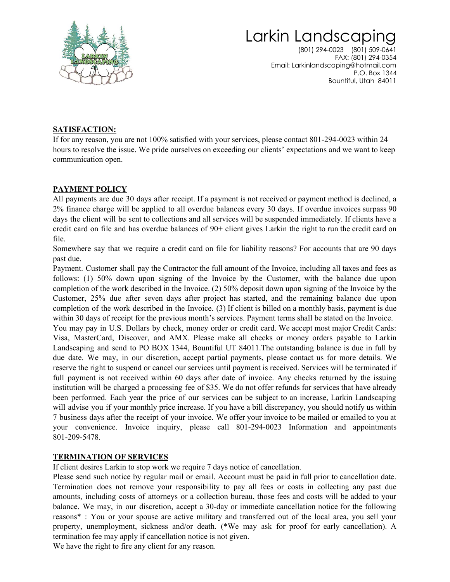

## Larkin Landscaping

(801) 294-0023 (801) 509-0641 FAX: (801) 294-0354 Email: Larkinlandscaping@hotmail.com P.O. Box 1344 Bountiful, Utah 84011

#### **SATISFACTION:**

If for any reason, you are not 100% satisfied with your services, please contact 801-294-0023 within 24 hours to resolve the issue. We pride ourselves on exceeding our clients' expectations and we want to keep communication open.

#### **PAYMENT POLICY**

All payments are due 30 days after receipt. If a payment is not received or payment method is declined, a 2% finance charge will be applied to all overdue balances every 30 days. If overdue invoices surpass 90 days the client will be sent to collections and all services will be suspended immediately. If clients have a credit card on file and has overdue balances of 90+ client gives Larkin the right to run the credit card on file.

Somewhere say that we require a credit card on file for liability reasons? For accounts that are 90 days past due.

Payment. Customer shall pay the Contractor the full amount of the Invoice, including all taxes and fees as follows: (1) 50% down upon signing of the Invoice by the Customer, with the balance due upon completion of the work described in the Invoice. (2) 50% deposit down upon signing of the Invoice by the Customer, 25% due after seven days after project has started, and the remaining balance due upon completion of the work described in the Invoice. (3) If client is billed on a monthly basis, payment is due within 30 days of receipt for the previous month's services. Payment terms shall be stated on the Invoice.

You may pay in U.S. Dollars by check, money order or credit card. We accept most major Credit Cards: Visa, MasterCard, Discover, and AMX. Please make all checks or money orders payable to Larkin Landscaping and send to PO BOX 1344, Bountiful UT 84011.The outstanding balance is due in full by due date. We may, in our discretion, accept partial payments, please contact us for more details. We reserve the right to suspend or cancel our services until payment is received. Services will be terminated if full payment is not received within 60 days after date of invoice. Any checks returned by the issuing institution will be charged a processing fee of \$35. We do not offer refunds for services that have already been performed. Each year the price of our services can be subject to an increase, Larkin Landscaping will advise you if your monthly price increase. If you have a bill discrepancy, you should notify us within 7 business days after the receipt of your invoice. We offer your invoice to be mailed or emailed to you at your convenience. Invoice inquiry, please call 801-294-0023 Information and appointments 801-209-5478.

#### **TERMINATION OF SERVICES**

If client desires Larkin to stop work we require 7 days notice of cancellation.

Please send such notice by regular mail or email. Account must be paid in full prior to cancellation date. Termination does not remove your responsibility to pay all fees or costs in collecting any past due amounts, including costs of attorneys or a collection bureau, those fees and costs will be added to your balance. We may, in our discretion, accept a 30-day or immediate cancellation notice for the following reasons\* : You or your spouse are active military and transferred out of the local area, you sell your property, unemployment, sickness and/or death. (\*We may ask for proof for early cancellation). A termination fee may apply if cancellation notice is not given.

We have the right to fire any client for any reason.